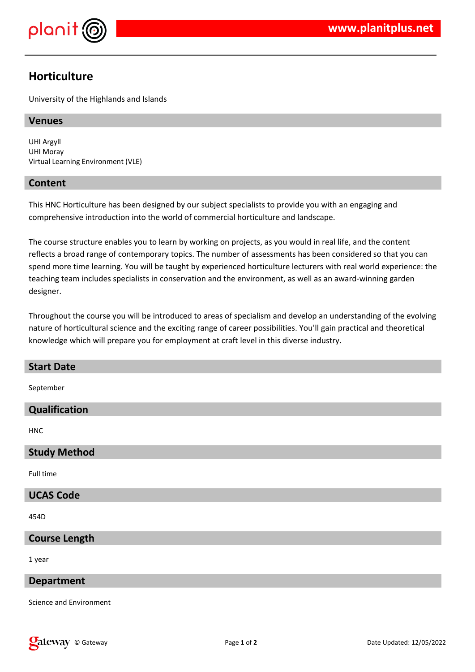

# **Horticulture**

University of the Highlands and Islands

#### **Venues**

UHI Argyll UHI Moray Virtual Learning Environment (VLE)

### **Content**

This HNC Horticulture has been designed by our subject specialists to provide you with an engaging and comprehensive introduction into the world of commercial horticulture and landscape.

The course structure enables you to learn by working on projects, as you would in real life, and the content reflects a broad range of contemporary topics. The number of assessments has been considered so that you can spend more time learning. You will be taught by experienced horticulture lecturers with real world experience: the teaching team includes specialists in conservation and the environment, as well as an award-winning garden designer.

Throughout the course you will be introduced to areas of specialism and develop an understanding of the evolving nature of horticultural science and the exciting range of career possibilities. You'll gain practical and theoretical knowledge which will prepare you for employment at craft level in this diverse industry.

| <b>Start Date</b> |  |  |
|-------------------|--|--|
|                   |  |  |

September

#### **Qualification**

HNC

#### **Study Method**

Full time

#### **UCAS Code**

454D

## **Course Length**

1 year

#### **Department**

Science and Environment